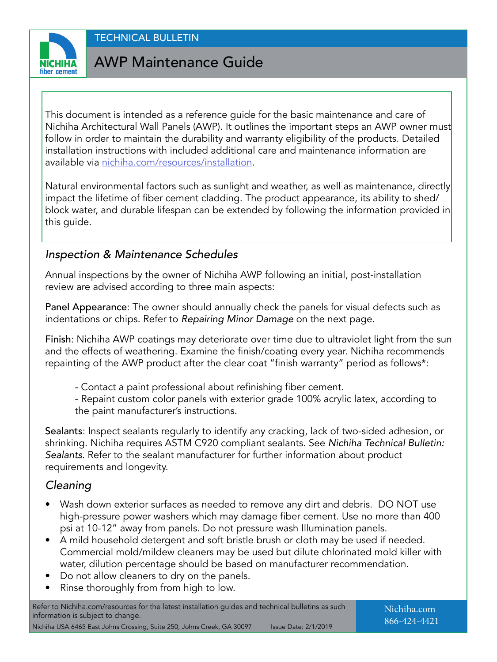

# AWP Maintenance Guide

This document is intended as a reference guide for the basic maintenance and care of Nichiha Architectural Wall Panels (AWP). It outlines the important steps an AWP owner must follow in order to maintain the durability and warranty eligibility of the products. Detailed installation instructions with included additional care and maintenance information are available via [nichiha.com/resources/installation](http://nichiha.com/resources/installation).

Natural environmental factors such as sunlight and weather, as well as maintenance, directly impact the lifetime of fiber cement cladding. The product appearance, its ability to shed/ block water, and durable lifespan can be extended by following the information provided in this guide.

### *Inspection & Maintenance Schedules*

Annual inspections by the owner of Nichiha AWP following an initial, post-installation review are advised according to three main aspects:

Panel Appearance: The owner should annually check the panels for visual defects such as indentations or chips. Refer to *Repairing Minor Damage* on the next page.

Finish: Nichiha AWP coatings may deteriorate over time due to ultraviolet light from the sun and the effects of weathering. Examine the finish/coating every year. Nichiha recommends repainting of the AWP product after the clear coat "finish warranty" period as follows\*:

- Contact a paint professional about refinishing fiber cement.

- Repaint custom color panels with exterior grade 100% acrylic latex, according to the paint manufacturer's instructions.

Sealants: Inspect sealants regularly to identify any cracking, lack of two-sided adhesion, or shrinking. Nichiha requires ASTM C920 compliant sealants. See *Nichiha Technical Bulletin: Sealants*. Refer to the sealant manufacturer for further information about product requirements and longevity.

### *Cleaning*

- Wash down exterior surfaces as needed to remove any dirt and debris. DO NOT use high-pressure power washers which may damage fiber cement. Use no more than 400 psi at 10-12" away from panels. Do not pressure wash Illumination panels.
- A mild household detergent and soft bristle brush or cloth may be used if needed. Commercial mold/mildew cleaners may be used but dilute chlorinated mold killer with water, dilution percentage should be based on manufacturer recommendation.
- Do not allow cleaners to dry on the panels.
- Rinse thoroughly from from high to low.

Refer to Nichiha.com/resources for the latest installation guides and technical bulletins as such information is subject to change. Nichiha USA 6465 East Johns Crossing, Suite 250, Johns Creek, GA 30097 Issue Date: 2/1/2019

Nichiha.com 866-424-4421